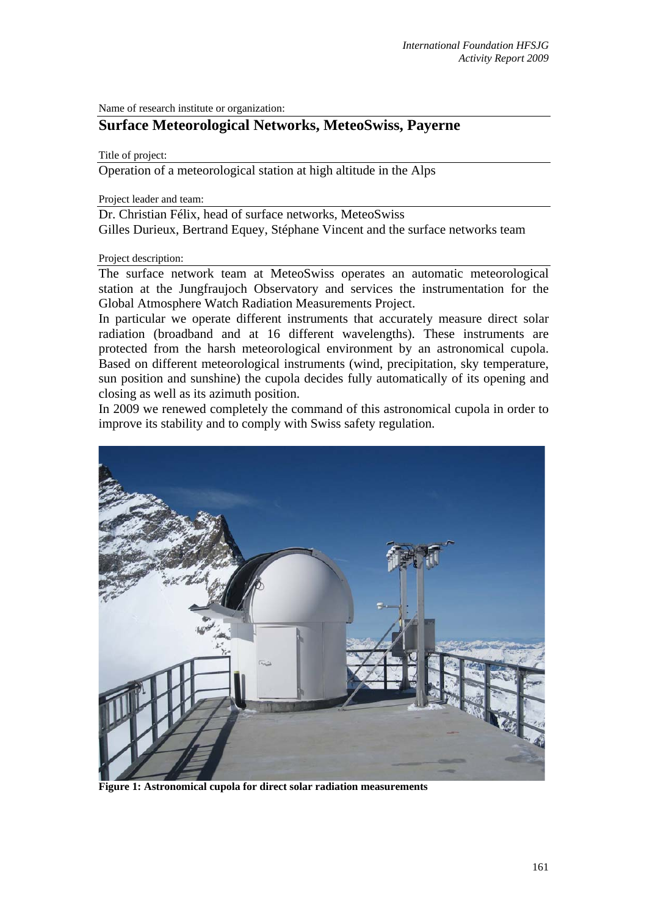Name of research institute or organization:

## **Surface Meteorological Networks, MeteoSwiss, Payerne**

Title of project:

Operation of a meteorological station at high altitude in the Alps

Project leader and team:

Dr. Christian Félix, head of surface networks, MeteoSwiss Gilles Durieux, Bertrand Equey, Stéphane Vincent and the surface networks team

## Project description:

The surface network team at MeteoSwiss operates an automatic meteorological station at the Jungfraujoch Observatory and services the instrumentation for the Global Atmosphere Watch Radiation Measurements Project.

In particular we operate different instruments that accurately measure direct solar radiation (broadband and at 16 different wavelengths). These instruments are protected from the harsh meteorological environment by an astronomical cupola. Based on different meteorological instruments (wind, precipitation, sky temperature, sun position and sunshine) the cupola decides fully automatically of its opening and closing as well as its azimuth position.

In 2009 we renewed completely the command of this astronomical cupola in order to improve its stability and to comply with Swiss safety regulation.



**Figure 1: Astronomical cupola for direct solar radiation measurements**